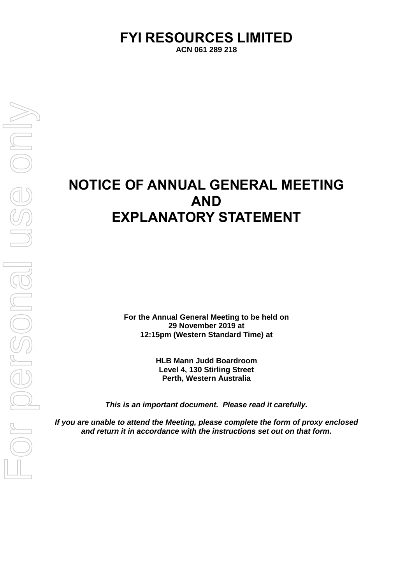# **FYI RESOURCES LIMITED**

**ACN 061 289 218** 

# **NOTICE OF ANNUAL GENERAL MEETING AND EXPLANATORY STATEMENT**

**For the Annual General Meeting to be held on 29 November 2019 at 12:15pm (Western Standard Time) at** 

> **HLB Mann Judd Boardroom Level 4, 130 Stirling Street Perth, Western Australia**

*This is an important document. Please read it carefully.* 

*If you are unable to attend the Meeting, please complete the form of proxy enclosed and return it in accordance with the instructions set out on that form.*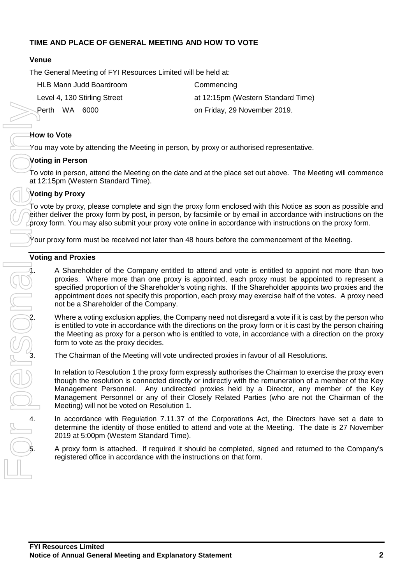### **TIME AND PLACE OF GENERAL MEETING AND HOW TO VOTE**

#### **Venue**

The General Meeting of FYI Resources Limited will be held at:

| HLB Mann Judd Boardroom      | Commencing                         |
|------------------------------|------------------------------------|
| Level 4, 130 Stirling Street | at 12:15pm (Western Standard Time) |
| Perth WA 6000                | on Friday, 29 November 2019.       |

#### **How to Vote**

You may vote by attending the Meeting in person, by proxy or authorised representative.

#### **Voting in Person**

To vote in person, attend the Meeting on the date and at the place set out above. The Meeting will commence at 12:15pm (Western Standard Time).

#### **Voting by Proxy**

To vote by proxy, please complete and sign the proxy form enclosed with this Notice as soon as possible and either deliver the proxy form by post, in person, by facsimile or by email in accordance with instructions on the proxy form. You may also submit your proxy vote online in accordance with instructions on the proxy form.

 $\gamma$ our proxy form must be received not later than 48 hours before the commencement of the Meeting.

#### **Voting and Proxies**

1. A Shareholder of the Company entitled to attend and vote is entitled to appoint not more than two proxies. Where more than one proxy is appointed, each proxy must be appointed to represent a specified proportion of the Shareholder's voting rights. If the Shareholder appoints two proxies and the appointment does not specify this proportion, each proxy may exercise half of the votes. A proxy need not be a Shareholder of the Company.

2. Where a voting exclusion applies, the Company need not disregard a vote if it is cast by the person who<br>is entitled to vote in accordance with the directions on the proxy form or it is cast by the person chairing<br>the Me is entitled to vote in accordance with the directions on the proxy form or it is cast by the person chairing the Meeting as proxy for a person who is entitled to vote, in accordance with a direction on the proxy form to vote as the proxy decides.

The Chairman of the Meeting will vote undirected proxies in favour of all Resolutions.

In relation to Resolution 1 the proxy form expressly authorises the Chairman to exercise the proxy even though the resolution is connected directly or indirectly with the remuneration of a member of the Key Management Personnel. Any undirected proxies held by a Director, any member of the Key Management Personnel or any of their Closely Related Parties (who are not the Chairman of the Meeting) will not be voted on Resolution 1. 4. In accordance with Regulation 7.11.37 of the Corporations Act, the Directors have management Personnel or any of their Closely Related Parties (who are not the Chairman of the Mey Management Personnel or any of their Cl

determine the identity of those entitled to attend and vote at the Meeting. The date is 27 November 2019 at 5:00pm (Western Standard Time).

5. A proxy form is attached. If required it should be completed, signed and returned to the Company's registered office in accordance with the instructions on that form.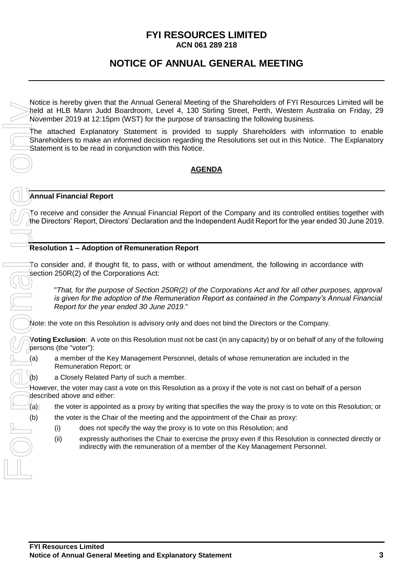#### **FYI RESOURCES LIMITED ACN 061 289 218**

### **NOTICE OF ANNUAL GENERAL MEETING**

Notice is hereby given that the Annual General Meeting of the Shareholders of FYI Resources Limited will be held at HLB Mann Judd Boardroom, Level 4, 130 Stirling Street, Perth, Western Australia on Friday, 29 November 2019 at 12:15pm (WST) for the purpose of transacting the following business.

The attached Explanatory Statement is provided to supply Shareholders with information to enable Shareholders to make an informed decision regarding the Resolutions set out in this Notice. The Explanatory Statement is to be read in conjunction with this Notice.

#### **AGENDA**

#### **Annual Financial Report**

To receive and consider the Annual Financial Report of the Company and its controlled entities together with the Directors' Report, Directors' Declaration and the Independent Audit Report for the year ended 30 June 2019.

#### **Resolution 1 – Adoption of Remuneration Report**

To consider and, if thought fit, to pass, with or without amendment, the following in accordance with section 250R(2) of the Corporations Act:

"*That, for the purpose of Section 250R(2) of the Corporations Act and for all other purposes, approval is given for the adoption of the Remuneration Report as contained in the Company's Annual Financial Report for the year ended 30 June 2019.*"

Note: the vote on this Resolution is advisory only and does not bind the Directors or the Company.

**Voting Exclusion**: A vote on this Resolution must not be cast (in any capacity) by or on behalf of any of the following persons (the "voter"):

(a) a member of the Key Management Personnel, details of whose remuneration are included in the Remuneration Report; or

(b) a Closely Related Party of such a member.

However, the voter may cast a vote on this Resolution as a proxy if the vote is not cast on behalf of a person described above and either:

- $(a)$  the voter is appointed as a proxy by writing that specifies the way the proxy is to vote on this Resolution; or
- (b) the voter is the Chair of the meeting and the appointment of the Chair as proxy:
	- (i) does not specify the way the proxy is to vote on this Resolution; and
	- (ii) expressly authorises the Chair to exercise the proxy even if this Resolution is connected directly or indirectly with the remuneration of a member of the Key Management Personnel.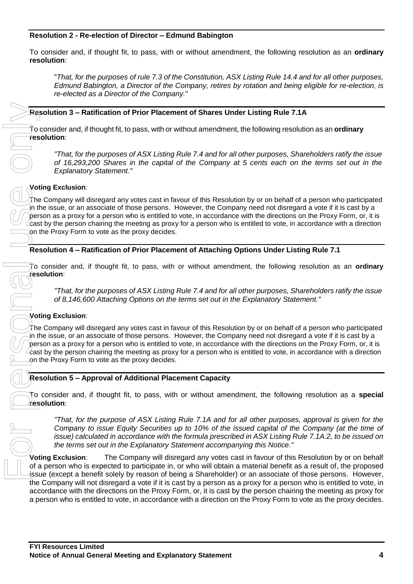#### **Resolution 2 - Re-election of Director – Edmund Babington**

To consider and, if thought fit, to pass, with or without amendment, the following resolution as an **ordinary resolution**:

"*That, for the purposes of rule 7.3 of the Constitution, ASX Listing Rule 14.4 and for all other purposes, Edmund Babington, a Director of the Company, retires by rotation and being eligible for re-election, is re-elected as a Director of the Company.*"

#### **Resolution 3 – Ratification of Prior Placement of Shares Under Listing Rule 7.1A**

To consider and, if thought fit, to pass, with or without amendment, the following resolution as an **ordinary resolution**:

*"That, for the purposes of ASX Listing Rule 7.4 and for all other purposes, Shareholders ratify the issue of 16,293,200 Shares in the capital of the Company at 5 cents each on the terms set out in the Explanatory Statement."*

#### **Voting Exclusion**:

The Company will disregard any votes cast in favour of this Resolution by or on behalf of a person who participated in the issue, or an associate of those persons. However, the Company need not disregard a vote if it is cast by a person as a proxy for a person who is entitled to vote, in accordance with the directions on the Proxy Form, or, it is cast by the person chairing the meeting as proxy for a person who is entitled to vote, in accordance with a direction on the Proxy Form to vote as the proxy decides.

#### **Resolution 4 – Ratification of Prior Placement of Attaching Options Under Listing Rule 7.1**

To consider and, if thought fit, to pass, with or without amendment, the following resolution as an **ordinary resolution**:

*"That, for the purposes of ASX Listing Rule 7.4 and for all other purposes, Shareholders ratify the issue of 8,146,600 Attaching Options on the terms set out in the Explanatory Statement."*

#### **Voting Exclusion**:

The Company will disregard any votes cast in favour of this Resolution by or on behalf of a person who participated in the issue, or an associate of those persons. However, the Company need not disregard a vote if it is cast by a person as a proxy for a person who is entitled to vote, in accordance with the directions on the Proxy Form, or, it is cast by the person chairing the meeting as proxy for a person who is entitled to vote, in accordance with a direction on the Proxy Form to vote as the proxy decides.

#### **Resolution 5 – Approval of Additional Placement Capacity**

To consider and, if thought fit, to pass, with or without amendment, the following resolution as a **special resolution**:

*"That, for the purpose of ASX Listing Rule 7.1A and for all other purposes, approval is given for the Company to issue Equity Securities up to 10% of the issued capital of the Company (at the time of issue) calculated in accordance with the formula prescribed in ASX Listing Rule 7.1A.2, to be issued on the terms set out in the Explanatory Statement accompanying this Notice."*

**Voting Exclusion**: The Company will disregard any votes cast in favour of this Resolution by or on behalf of a person who is expected to participate in, or who will obtain a material benefit as a result of, the proposed issue (except a benefit solely by reason of being a Shareholder) or an associate of those persons. However, the Company will not disregard a vote if it is cast by a person as a proxy for a person who is entitled to vote, in accordance with the directions on the Proxy Form, or, it is cast by the person chairing the meeting as proxy for **Expedition 3 - Ratification of Prior Piacement of Shares Under Listing Rule 7.1A<br>
Treaty for the processe of ASY Listing Rule 7.4 and for all collection on the listing and processes.<br>
The first the processes of ASY Listin**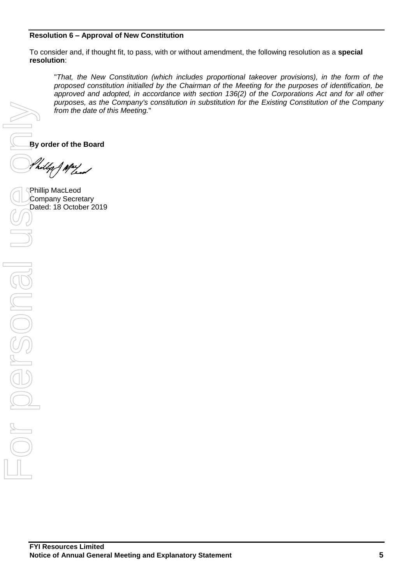#### **Resolution 6 – Approval of New Constitution**

To consider and, if thought fit, to pass, with or without amendment, the following resolution as a **special resolution**:

"*That, the New Constitution (which includes proportional takeover provisions), in the form of the proposed constitution initialled by the Chairman of the Meeting for the purposes of identification, be approved and adopted, in accordance with section 136(2) of the Corporations Act and for all other purposes, as the Company's constitution in substitution for the Existing Constitution of the Company from the date of this Meeting.*"

**By order of the Board**

Phillip MacLeod Company Secretary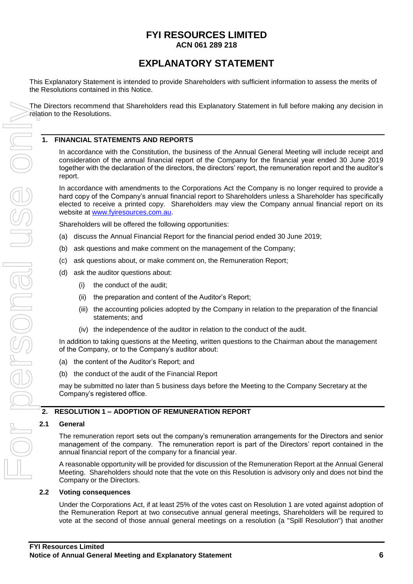#### **FYI RESOURCES LIMITED ACN 061 289 218**

### **EXPLANATORY STATEMENT**

This Explanatory Statement is intended to provide Shareholders with sufficient information to assess the merits of the Resolutions contained in this Notice.

The Directors recommend that Shareholders read this Explanatory Statement in full before making any decision in relation to the Resolutions.

#### **1. FINANCIAL STATEMENTS AND REPORTS**

In accordance with the Constitution, the business of the Annual General Meeting will include receipt and consideration of the annual financial report of the Company for the financial year ended 30 June 2019 together with the declaration of the directors, the directors' report, the remuneration report and the auditor's report.

In accordance with amendments to the Corporations Act the Company is no longer required to provide a hard copy of the Company's annual financial report to Shareholders unless a Shareholder has specifically elected to receive a printed copy. Shareholders may view the Company annual financial report on its website at [www.fyiresources.com.au.](http://www.fyiresources.com.au/)

Shareholders will be offered the following opportunities:

- (a) discuss the Annual Financial Report for the financial period ended 30 June 2019;
- (b) ask questions and make comment on the management of the Company;
- (c) ask questions about, or make comment on, the Remuneration Report;
- (d) ask the auditor questions about:
	- (i) the conduct of the audit;
	- (ii) the preparation and content of the Auditor's Report;
	- (iii) the accounting policies adopted by the Company in relation to the preparation of the financial statements; and
	- (iv) the independence of the auditor in relation to the conduct of the audit.

In addition to taking questions at the Meeting, written questions to the Chairman about the management of the Company, or to the Company's auditor about:

- (a) the content of the Auditor's Report; and
- (b) the conduct of the audit of the Financial Report

may be submitted no later than 5 business days before the Meeting to the Company Secretary at the Company's registered office.

#### **2. RESOLUTION 1 – ADOPTION OF REMUNERATION REPORT**

#### **2.1 General**

The remuneration report sets out the company's remuneration arrangements for the Directors and senior management of the company. The remuneration report is part of the Directors' report contained in the annual financial report of the company for a financial year.

A reasonable opportunity will be provided for discussion of the Remuneration Report at the Annual General Meeting. Shareholders should note that the vote on this Resolution is advisory only and does not bind the Company or the Directors.

#### **2.2 Voting consequences**

Under the Corporations Act, if at least 25% of the votes cast on Resolution 1 are voted against adoption of the Remuneration Report at two consecutive annual general meetings, Shareholders will be required to vote at the second of those annual general meetings on a resolution (a "Spill Resolution") that another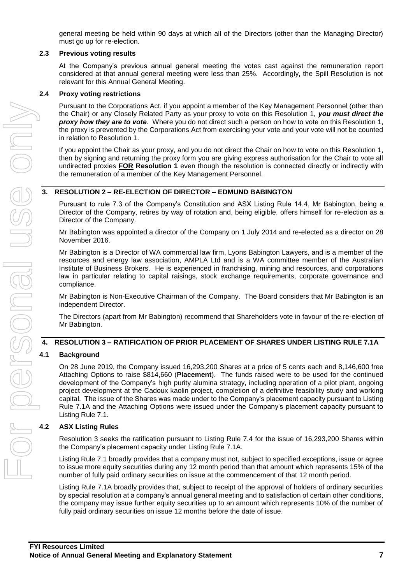general meeting be held within 90 days at which all of the Directors (other than the Managing Director) must go up for re-election.

#### **2.3 Previous voting results**

At the Company's previous annual general meeting the votes cast against the remuneration report considered at that annual general meeting were less than 25%. Accordingly, the Spill Resolution is not relevant for this Annual General Meeting.

#### **2.4 Proxy voting restrictions**

Pursuant to the Corporations Act, if you appoint a member of the Key Management Personnel (other than the Chair) or any Closely Related Party as your proxy to vote on this Resolution 1, *you must direct the proxy how they are to vote*. Where you do not direct such a person on how to vote on this Resolution 1, the proxy is prevented by the Corporations Act from exercising your vote and your vote will not be counted in relation to Resolution 1.

If you appoint the Chair as your proxy, and you do not direct the Chair on how to vote on this Resolution 1, then by signing and returning the proxy form you are giving express authorisation for the Chair to vote all undirected proxies **FOR Resolution 1** even though the resolution is connected directly or indirectly with the remuneration of a member of the Key Management Personnel.

#### **3. RESOLUTION 2 – RE-ELECTION OF DIRECTOR – EDMUND BABINGTON**

Pursuant to rule 7.3 of the Company's Constitution and ASX Listing Rule 14.4, Mr Babington, being a Director of the Company, retires by way of rotation and, being eligible, offers himself for re-election as a Director of the Company.

Mr Babington was appointed a director of the Company on 1 July 2014 and re-elected as a director on 28 November 2016.

Mr Babington is a Director of WA commercial law firm, Lyons Babington Lawyers, and is a member of the resources and energy law association, AMPLA Ltd and is a WA committee member of the Australian Institute of Business Brokers. He is experienced in franchising, mining and resources, and corporations law in particular relating to capital raisings, stock exchange requirements, corporate governance and compliance.

Mr Babington is Non-Executive Chairman of the Company. The Board considers that Mr Babington is an independent Director.

The Directors (apart from Mr Babington) recommend that Shareholders vote in favour of the re-election of Mr Babington.

#### **4. RESOLUTION 3 – RATIFICATION OF PRIOR PLACEMENT OF SHARES UNDER LISTING RULE 7.1A**

#### **4.1 Background**

On 28 June 2019, the Company issued 16,293,200 Shares at a price of 5 cents each and 8,146,600 free Attaching Options to raise \$814,660 (**Placement**). The funds raised were to be used for the continued development of the Company's high purity alumina strategy, including operation of a pilot plant, ongoing project development at the Cadoux kaolin project, completion of a definitive feasibility study and working capital. The issue of the Shares was made under to the Company's placement capacity pursuant to Listing Rule 7.1A and the Attaching Options were issued under the Company's placement capacity pursuant to Listing Rule 7.1.

#### **4.2 ASX Listing Rules**

Resolution 3 seeks the ratification pursuant to Listing Rule 7.4 for the issue of 16,293,200 Shares within the Company's placement capacity under Listing Rule 7.1A.

Listing Rule 7.1 broadly provides that a company must not, subject to specified exceptions, issue or agree to issue more equity securities during any 12 month period than that amount which represents 15% of the number of fully paid ordinary securities on issue at the commencement of that 12 month period.

Listing Rule 7.1A broadly provides that, subject to receipt of the approval of holders of ordinary securities by special resolution at a company's annual general meeting and to satisfaction of certain other conditions, the company may issue further equity securities up to an amount which represents 10% of the number of fully paid ordinary securities on issue 12 months before the date of issue.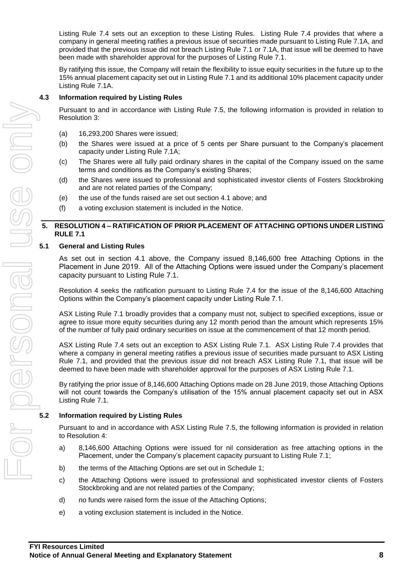Listing Rule 7.4 sets out an exception to these Listing Rules. Listing Rule 7.4 provides that where a company in general meeting ratifies a previous issue of securities made pursuant to Listing Rule 7.1A, and provided that the previous issue did not breach Listing Rule 7.1 or 7.1A, that issue will be deemed to have been made with shareholder approval for the purposes of Listing Rule 7.1.

By ratifying this issue, the Company will retain the flexibility to issue equity securities in the future up to the 15% annual placement capacity set out in Listing Rule 7.1 and its additional 10% placement capacity under Listing Rule 7.1A.

#### **4.3 Information required by Listing Rules**

Pursuant to and in accordance with Listing Rule 7.5, the following information is provided in relation to Resolution 3:

- (a) 16,293,200 Shares were issued;
- (b) the Shares were issued at a price of 5 cents per Share pursuant to the Company's placement capacity under Listing Rule 7.1A;
- (c) The Shares were all fully paid ordinary shares in the capital of the Company issued on the same terms and conditions as the Company's existing Shares;
- (d) the Shares were issued to professional and sophisticated investor clients of Fosters Stockbroking and are not related parties of the Company;
- (e) the use of the funds raised are set out section 4.1 above; and
- (f) a voting exclusion statement is included in the Notice.

#### **5. RESOLUTION 4 – RATIFICATION OF PRIOR PLACEMENT OF ATTACHING OPTIONS UNDER LISTING RULE 7.1**

#### **5.1 General and Listing Rules**

As set out in section 4.1 above, the Company issued 8,146,600 free Attaching Options in the Placement in June 2019. All of the Attaching Options were issued under the Company's placement capacity pursuant to Listing Rule 7.1.

Resolution 4 seeks the ratification pursuant to Listing Rule 7.4 for the issue of the 8,146,600 Attaching Options within the Company's placement capacity under Listing Rule 7.1.

ASX Listing Rule 7.1 broadly provides that a company must not, subject to specified exceptions, issue or agree to issue more equity securities during any 12 month period than the amount which represents 15% of the number of fully paid ordinary securities on issue at the commencement of that 12 month period.

ASX Listing Rule 7.4 sets out an exception to ASX Listing Rule 7.1. ASX Listing Rule 7.4 provides that where a company in general meeting ratifies a previous issue of securities made pursuant to ASX Listing Rule 7.1, and provided that the previous issue did not breach ASX Listing Rule 7.1, that issue will be deemed to have been made with shareholder approval for the purposes of ASX Listing Rule 7.1.

By ratifying the prior issue of 8,146,600 Attaching Options made on 28 June 2019, those Attaching Options will not count towards the Company's utilisation of the 15% annual placement capacity set out in ASX Listing Rule 7.1.

Pursuant to and in accordance with ASX Listing Rule 7.5, the following information is provided in relation to Resolution 4:

- a) 8,146,600 Attaching Options were issued for nil consideration as free attaching options in the Placement, under the Company's placement capacity pursuant to Listing Rule 7.1;
- b) the terms of the Attaching Options are set out in Schedule 1;
- c) the Attaching Options were issued to professional and sophisticated investor clients of Fosters Stockbroking and are not related parties of the Company;
- d) no funds were raised form the issue of the Attaching Options;
- e) a voting exclusion statement is included in the Notice.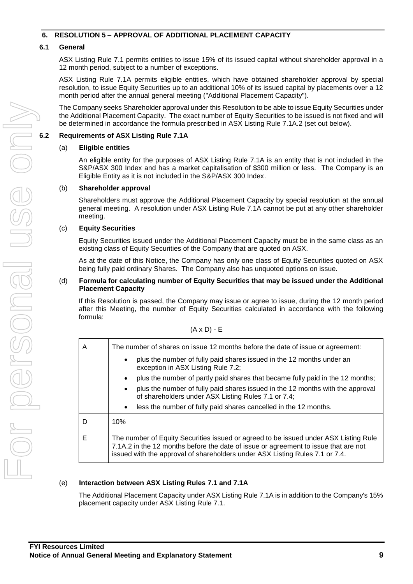#### **6. RESOLUTION 5 – APPROVAL OF ADDITIONAL PLACEMENT CAPACITY**

#### **6.1 General**

ASX Listing Rule 7.1 permits entities to issue 15% of its issued capital without shareholder approval in a 12 month period, subject to a number of exceptions.

ASX Listing Rule 7.1A permits eligible entities, which have obtained shareholder approval by special resolution, to issue Equity Securities up to an additional 10% of its issued capital by placements over a 12 month period after the annual general meeting ("Additional Placement Capacity").

The Company seeks Shareholder approval under this Resolution to be able to issue Equity Securities under the Additional Placement Capacity. The exact number of Equity Securities to be issued is not fixed and will be determined in accordance the formula prescribed in ASX Listing Rule 7.1A.2 (set out below).

#### **6.2 Requirements of ASX Listing Rule 7.1A**

#### (a) **Eligible entities**

An eligible entity for the purposes of ASX Listing Rule 7.1A is an entity that is not included in the S&P/ASX 300 Index and has a market capitalisation of \$300 million or less. The Company is an Eligible Entity as it is not included in the S&P/ASX 300 Index.

#### (b) **Shareholder approval**

Shareholders must approve the Additional Placement Capacity by special resolution at the annual general meeting. A resolution under ASX Listing Rule 7.1A cannot be put at any other shareholder meeting.

#### (c) **Equity Securities**

Equity Securities issued under the Additional Placement Capacity must be in the same class as an existing class of Equity Securities of the Company that are quoted on ASX.

As at the date of this Notice, the Company has only one class of Equity Securities quoted on ASX being fully paid ordinary Shares. The Company also has unquoted options on issue.

#### (d) **Formula for calculating number of Equity Securities that may be issued under the Additional Placement Capacity**

(A x D) - E

If this Resolution is passed, the Company may issue or agree to issue, during the 12 month period after this Meeting, the number of Equity Securities calculated in accordance with the following formula:

| A | The number of shares on issue 12 months before the date of issue or agreement:                                                                                                                                                                              |  |  |  |  |  |  |
|---|-------------------------------------------------------------------------------------------------------------------------------------------------------------------------------------------------------------------------------------------------------------|--|--|--|--|--|--|
|   | plus the number of fully paid shares issued in the 12 months under an<br>exception in ASX Listing Rule 7.2;                                                                                                                                                 |  |  |  |  |  |  |
|   | plus the number of partly paid shares that became fully paid in the 12 months;<br>$\bullet$                                                                                                                                                                 |  |  |  |  |  |  |
|   | plus the number of fully paid shares issued in the 12 months with the approval<br>$\bullet$<br>of shareholders under ASX Listing Rules 7.1 or 7.4;                                                                                                          |  |  |  |  |  |  |
|   | less the number of fully paid shares cancelled in the 12 months.<br>$\bullet$                                                                                                                                                                               |  |  |  |  |  |  |
| D | 10%                                                                                                                                                                                                                                                         |  |  |  |  |  |  |
| Е | The number of Equity Securities issued or agreed to be issued under ASX Listing Rule<br>7.1A.2 in the 12 months before the date of issue or agreement to issue that are not<br>issued with the approval of shareholders under ASX Listing Rules 7.1 or 7.4. |  |  |  |  |  |  |

#### (e) **Interaction between ASX Listing Rules 7.1 and 7.1A**

The Additional Placement Capacity under ASX Listing Rule 7.1A is in addition to the Company's 15% placement capacity under ASX Listing Rule 7.1.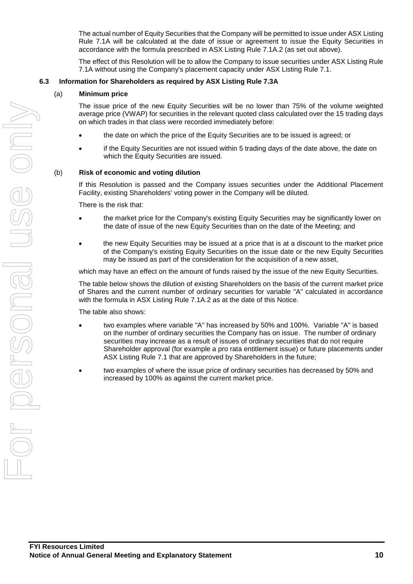The actual number of Equity Securities that the Company will be permitted to issue under ASX Listing Rule 7.1A will be calculated at the date of issue or agreement to issue the Equity Securities in accordance with the formula prescribed in ASX Listing Rule 7.1A.2 (as set out above).

The effect of this Resolution will be to allow the Company to issue securities under ASX Listing Rule 7.1A without using the Company's placement capacity under ASX Listing Rule 7.1.

#### **6.3 Information for Shareholders as required by ASX Listing Rule 7.3A**

#### (a) **Minimum price**

The issue price of the new Equity Securities will be no lower than 75% of the volume weighted average price (VWAP) for securities in the relevant quoted class calculated over the 15 trading days on which trades in that class were recorded immediately before:

- the date on which the price of the Equity Securities are to be issued is agreed; or
- if the Equity Securities are not issued within 5 trading days of the date above, the date on which the Equity Securities are issued.

#### (b) **Risk of economic and voting dilution**

If this Resolution is passed and the Company issues securities under the Additional Placement Facility, existing Shareholders' voting power in the Company will be diluted.

There is the risk that:

- the market price for the Company's existing Equity Securities may be significantly lower on the date of issue of the new Equity Securities than on the date of the Meeting; and
- the new Equity Securities may be issued at a price that is at a discount to the market price of the Company's existing Equity Securities on the issue date or the new Equity Securities may be issued as part of the consideration for the acquisition of a new asset,

which may have an effect on the amount of funds raised by the issue of the new Equity Securities.

The table below shows the dilution of existing Shareholders on the basis of the current market price of Shares and the current number of ordinary securities for variable "A" calculated in accordance with the formula in ASX Listing Rule 7.1A.2 as at the date of this Notice.

The table also shows:

- two examples where variable "A" has increased by 50% and 100%. Variable "A" is based on the number of ordinary securities the Company has on issue. The number of ordinary securities may increase as a result of issues of ordinary securities that do not require Shareholder approval (for example a pro rata entitlement issue) or future placements under ASX Listing Rule 7.1 that are approved by Shareholders in the future;
- two examples of where the issue price of ordinary securities has decreased by 50% and increased by 100% as against the current market price.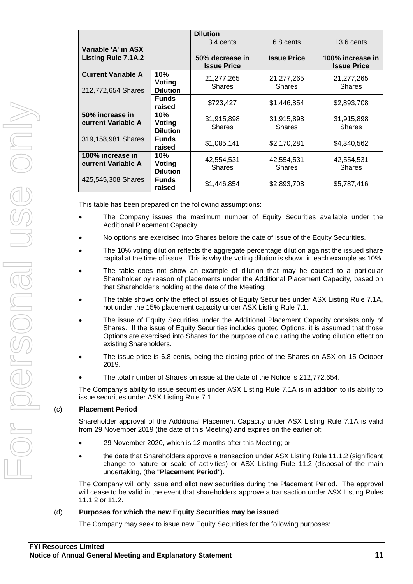|                           |                 | <b>Dilution</b>             |                    |                    |
|---------------------------|-----------------|-----------------------------|--------------------|--------------------|
|                           |                 | 3.4 cents                   | 6.8 cents          | 13.6 cents         |
| Variable 'A' in ASX       |                 |                             |                    |                    |
| Listing Rule 7.1A.2       |                 | 50% decrease in             | <b>Issue Price</b> | 100% increase in   |
|                           |                 | <b>Issue Price</b>          |                    | <b>Issue Price</b> |
| <b>Current Variable A</b> | 10%             | 21,277,265                  | 21,277,265         | 21,277,265         |
|                           | Voting          | <b>Shares</b>               | <b>Shares</b>      | <b>Shares</b>      |
| 212,772,654 Shares        | <b>Dilution</b> |                             |                    |                    |
|                           | <b>Funds</b>    | \$723,427                   | \$1,446,854        | \$2,893,708        |
|                           | raised          |                             |                    |                    |
| 50% increase in           | 10%             | 31,915,898                  | 31,915,898         | 31,915,898         |
| <b>current Variable A</b> | <b>Voting</b>   | <b>Shares</b>               | <b>Shares</b>      | <b>Shares</b>      |
|                           | <b>Dilution</b> |                             |                    |                    |
| 319,158,981 Shares        | <b>Funds</b>    | \$1,085,141                 | \$2,170,281        | \$4,340,562        |
|                           | raised          |                             |                    |                    |
| 100% increase in          | 10%             |                             |                    |                    |
| current Variable A        | Voting          | 42,554,531<br><b>Shares</b> | 42,554,531         | 42,554,531         |
|                           | <b>Dilution</b> |                             | <b>Shares</b>      | <b>Shares</b>      |
| 425,545,308 Shares        | <b>Funds</b>    |                             |                    |                    |
|                           | raised          | \$1,446,854                 | \$2,893,708        | \$5,787,416        |
|                           |                 |                             |                    |                    |

This table has been prepared on the following assumptions:

- The Company issues the maximum number of Equity Securities available under the Additional Placement Capacity.
- No options are exercised into Shares before the date of issue of the Equity Securities.
- The 10% voting dilution reflects the aggregate percentage dilution against the issued share capital at the time of issue. This is why the voting dilution is shown in each example as 10%.
- The table does not show an example of dilution that may be caused to a particular Shareholder by reason of placements under the Additional Placement Capacity, based on that Shareholder's holding at the date of the Meeting.
- The table shows only the effect of issues of Equity Securities under ASX Listing Rule 7.1A, not under the 15% placement capacity under ASX Listing Rule 7.1.
- The issue of Equity Securities under the Additional Placement Capacity consists only of Shares. If the issue of Equity Securities includes quoted Options, it is assumed that those Options are exercised into Shares for the purpose of calculating the voting dilution effect on existing Shareholders.
- The issue price is 6.8 cents, being the closing price of the Shares on ASX on 15 October 2019.
- The total number of Shares on issue at the date of the Notice is 212,772,654.

The Company's ability to issue securities under ASX Listing Rule 7.1A is in addition to its ability to issue securities under ASX Listing Rule 7.1.

#### (c) **Placement Period**

Shareholder approval of the Additional Placement Capacity under ASX Listing Rule 7.1A is valid from 29 November 2019 (the date of this Meeting) and expires on the earlier of:

- 29 November 2020, which is 12 months after this Meeting; or
- the date that Shareholders approve a transaction under ASX Listing Rule 11.1.2 (significant change to nature or scale of activities) or ASX Listing Rule 11.2 (disposal of the main undertaking, (the "**Placement Period**").

The Company will only issue and allot new securities during the Placement Period. The approval will cease to be valid in the event that shareholders approve a transaction under ASX Listing Rules 11.1.2 or 11.2.

#### (d) **Purposes for which the new Equity Securities may be issued**

The Company may seek to issue new Equity Securities for the following purposes: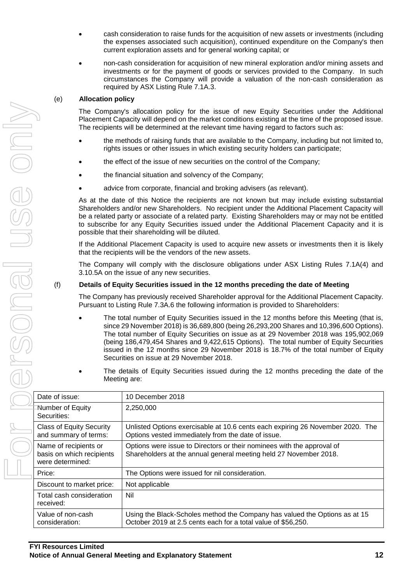- cash consideration to raise funds for the acquisition of new assets or investments (including the expenses associated such acquisition), continued expenditure on the Company's then current exploration assets and for general working capital; or
- non-cash consideration for acquisition of new mineral exploration and/or mining assets and investments or for the payment of goods or services provided to the Company. In such circumstances the Company will provide a valuation of the non-cash consideration as required by ASX Listing Rule 7.1A.3.

#### (e) **Allocation policy**

The Company's allocation policy for the issue of new Equity Securities under the Additional Placement Capacity will depend on the market conditions existing at the time of the proposed issue. The recipients will be determined at the relevant time having regard to factors such as:

- the methods of raising funds that are available to the Company, including but not limited to, rights issues or other issues in which existing security holders can participate;
- the effect of the issue of new securities on the control of the Company;
- the financial situation and solvency of the Company;
- advice from corporate, financial and broking advisers (as relevant).

As at the date of this Notice the recipients are not known but may include existing substantial Shareholders and/or new Shareholders. No recipient under the Additional Placement Capacity will be a related party or associate of a related party. Existing Shareholders may or may not be entitled to subscribe for any Equity Securities issued under the Additional Placement Capacity and it is possible that their shareholding will be diluted.

If the Additional Placement Capacity is used to acquire new assets or investments then it is likely that the recipients will be the vendors of the new assets.

The Company will comply with the disclosure obligations under ASX Listing Rules 7.1A(4) and 3.10.5A on the issue of any new securities.

#### (f) **Details of Equity Securities issued in the 12 months preceding the date of Meeting**

The Company has previously received Shareholder approval for the Additional Placement Capacity. Pursuant to Listing Rule 7.3A.6 the following information is provided to Shareholders:

- The total number of Equity Securities issued in the 12 months before this Meeting (that is, since 29 November 2018) is 36,689,800 (being 26,293,200 Shares and 10,396,600 Options). The total number of Equity Securities on issue as at 29 November 2018 was 195,902,069 (being 186,479,454 Shares and 9,422,615 Options). The total number of Equity Securities issued in the 12 months since 29 November 2018 is 18.7% of the total number of Equity Securities on issue at 29 November 2018.
- The details of Equity Securities issued during the 12 months preceding the date of the Meeting are:

| Date of issue:                                                         | 10 December 2018                                                                                                                            |
|------------------------------------------------------------------------|---------------------------------------------------------------------------------------------------------------------------------------------|
| Number of Equity<br>Securities:                                        | 2,250,000                                                                                                                                   |
| <b>Class of Equity Security</b><br>and summary of terms:               | Unlisted Options exercisable at 10.6 cents each expiring 26 November 2020. The<br>Options vested immediately from the date of issue.        |
| Name of recipients or<br>basis on which recipients<br>were determined: | Options were issue to Directors or their nominees with the approval of<br>Shareholders at the annual general meeting held 27 November 2018. |
| Price:                                                                 | The Options were issued for nil consideration.                                                                                              |
| Discount to market price:                                              | Not applicable                                                                                                                              |
| Total cash consideration<br>received:                                  | Nil                                                                                                                                         |
| Value of non-cash<br>consideration:                                    | Using the Black-Scholes method the Company has valued the Options as at 15<br>October 2019 at 2.5 cents each for a total value of \$56,250. |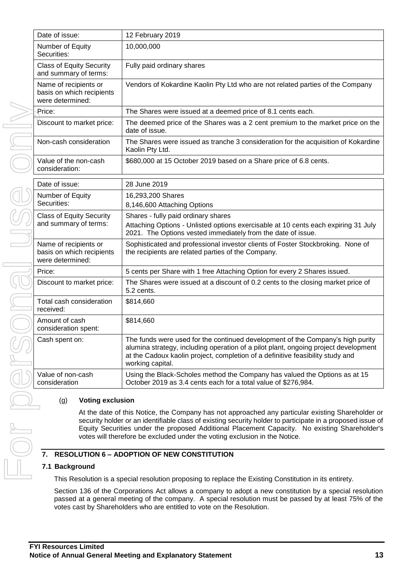| Date of issue:                                                         | 12 February 2019                                                                                                                                                                                                                                                                                                                                                                               |
|------------------------------------------------------------------------|------------------------------------------------------------------------------------------------------------------------------------------------------------------------------------------------------------------------------------------------------------------------------------------------------------------------------------------------------------------------------------------------|
| Number of Equity<br>Securities:                                        | 10,000,000                                                                                                                                                                                                                                                                                                                                                                                     |
| <b>Class of Equity Security</b><br>and summary of terms:               | Fully paid ordinary shares                                                                                                                                                                                                                                                                                                                                                                     |
| Name of recipients or<br>basis on which recipients<br>were determined: | Vendors of Kokardine Kaolin Pty Ltd who are not related parties of the Company                                                                                                                                                                                                                                                                                                                 |
| Price:                                                                 | The Shares were issued at a deemed price of 8.1 cents each.                                                                                                                                                                                                                                                                                                                                    |
| Discount to market price:                                              | The deemed price of the Shares was a 2 cent premium to the market price on the<br>date of issue.                                                                                                                                                                                                                                                                                               |
| Non-cash consideration                                                 | The Shares were issued as tranche 3 consideration for the acquisition of Kokardine<br>Kaolin Pty Ltd.                                                                                                                                                                                                                                                                                          |
| Value of the non-cash<br>consideration:                                | \$680,000 at 15 October 2019 based on a Share price of 6.8 cents.                                                                                                                                                                                                                                                                                                                              |
| Date of issue:                                                         | 28 June 2019                                                                                                                                                                                                                                                                                                                                                                                   |
| Number of Equity<br>Securities:                                        | 16,293,200 Shares<br>8,146,600 Attaching Options                                                                                                                                                                                                                                                                                                                                               |
| <b>Class of Equity Security</b><br>and summary of terms:               | Shares - fully paid ordinary shares<br>Attaching Options - Unlisted options exercisable at 10 cents each expiring 31 July<br>2021. The Options vested immediately from the date of issue.                                                                                                                                                                                                      |
| Name of recipients or<br>basis on which recipients<br>were determined: | Sophisticated and professional investor clients of Foster Stockbroking. None of<br>the recipients are related parties of the Company.                                                                                                                                                                                                                                                          |
| Price:                                                                 | 5 cents per Share with 1 free Attaching Option for every 2 Shares issued.                                                                                                                                                                                                                                                                                                                      |
| Discount to market price:                                              | The Shares were issued at a discount of 0.2 cents to the closing market price of<br>5.2 cents.                                                                                                                                                                                                                                                                                                 |
| Total cash consideration<br>received:                                  | \$814,660                                                                                                                                                                                                                                                                                                                                                                                      |
| Amount of cash<br>consideration spent:                                 | \$814,660                                                                                                                                                                                                                                                                                                                                                                                      |
| Cash spent on:                                                         | The funds were used for the continued development of the Company's high purity<br>alumina strategy, including operation of a pilot plant, ongoing project development<br>at the Cadoux kaolin project, completion of a definitive feasibility study and<br>working capital.                                                                                                                    |
| Value of non-cash<br>consideration                                     | Using the Black-Scholes method the Company has valued the Options as at 15<br>October 2019 as 3.4 cents each for a total value of \$276,984.                                                                                                                                                                                                                                                   |
| (g)<br><b>Voting exclusion</b>                                         |                                                                                                                                                                                                                                                                                                                                                                                                |
|                                                                        | At the date of this Notice, the Company has not approached any particular existing Shareholder or<br>security holder or an identifiable class of existing security holder to participate in a proposed issue of<br>Equity Securities under the proposed Additional Placement Capacity. No existing Shareholder's<br>votes will therefore be excluded under the voting exclusion in the Notice. |
|                                                                        | 7. RESOLUTION 6 - ADOPTION OF NEW CONSTITUTION                                                                                                                                                                                                                                                                                                                                                 |
| 7.1 Background                                                         |                                                                                                                                                                                                                                                                                                                                                                                                |
|                                                                        | This Desolution is a special resolution proposing to replace the Evisting Constitution                                                                                                                                                                                                                                                                                                         |

#### **7.1 Background**

This Resolution is a special resolution proposing to replace the Existing Constitution in its entirety.

Section 136 of the Corporations Act allows a company to adopt a new constitution by a special resolution passed at a general meeting of the company. A special resolution must be passed by at least 75% of the votes cast by Shareholders who are entitled to vote on the Resolution.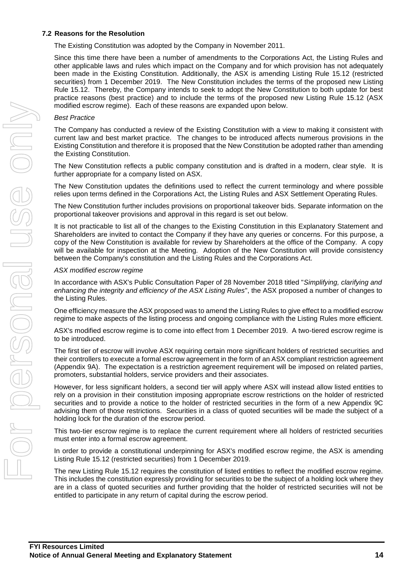#### **7.2 Reasons for the Resolution**

The Existing Constitution was adopted by the Company in November 2011.

Since this time there have been a number of amendments to the Corporations Act, the Listing Rules and other applicable laws and rules which impact on the Company and for which provision has not adequately been made in the Existing Constitution. Additionally, the ASX is amending Listing Rule 15.12 (restricted securities) from 1 December 2019. The New Constitution includes the terms of the proposed new Listing Rule 15.12. Thereby, the Company intends to seek to adopt the New Constitution to both update for best practice reasons (best practice) and to include the terms of the proposed new Listing Rule 15.12 (ASX modified escrow regime). Each of these reasons are expanded upon below.

#### *Best Practice*

The Company has conducted a review of the Existing Constitution with a view to making it consistent with current law and best market practice. The changes to be introduced affects numerous provisions in the Existing Constitution and therefore it is proposed that the New Constitution be adopted rather than amending the Existing Constitution.

The New Constitution reflects a public company constitution and is drafted in a modern, clear style. It is further appropriate for a company listed on ASX.

The New Constitution updates the definitions used to reflect the current terminology and where possible relies upon terms defined in the Corporations Act, the Listing Rules and ASX Settlement Operating Rules.

The New Constitution further includes provisions on proportional takeover bids. Separate information on the proportional takeover provisions and approval in this regard is set out below.

It is not practicable to list all of the changes to the Existing Constitution in this Explanatory Statement and Shareholders are invited to contact the Company if they have any queries or concerns. For this purpose, a copy of the New Constitution is available for review by Shareholders at the office of the Company. A copy will be available for inspection at the Meeting. Adoption of the New Constitution will provide consistency between the Company's constitution and the Listing Rules and the Corporations Act.

#### *ASX modified escrow regime*

In accordance with ASX's Public Consultation Paper of 28 November 2018 titled "*Simplifying, clarifying and enhancing the integrity and efficiency of the ASX Listing Rules*", the ASX proposed a number of changes to the Listing Rules.

One efficiency measure the ASX proposed was to amend the Listing Rules to give effect to a modified escrow regime to make aspects of the listing process and ongoing compliance with the Listing Rules more efficient.

ASX's modified escrow regime is to come into effect from 1 December 2019. A two-tiered escrow regime is to be introduced.

The first tier of escrow will involve ASX requiring certain more significant holders of restricted securities and their controllers to execute a formal escrow agreement in the form of an ASX compliant restriction agreement (Appendix 9A). The expectation is a restriction agreement requirement will be imposed on related parties, promoters, substantial holders, service providers and their associates.

However, for less significant holders, a second tier will apply where ASX will instead allow listed entities to rely on a provision in their constitution imposing appropriate escrow restrictions on the holder of restricted securities and to provide a notice to the holder of restricted securities in the form of a new Appendix 9C advising them of those restrictions. Securities in a class of quoted securities will be made the subject of a holding lock for the duration of the escrow period.

This two-tier escrow regime is to replace the current requirement where all holders of restricted securities must enter into a formal escrow agreement.

In order to provide a constitutional underpinning for ASX's modified escrow regime, the ASX is amending Listing Rule 15.12 (restricted securities) from 1 December 2019.

The new Listing Rule 15.12 requires the constitution of listed entities to reflect the modified escrow regime. This includes the constitution expressly providing for securities to be the subject of a holding lock where they are in a class of quoted securities and further providing that the holder of restricted securities will not be entitled to participate in any return of capital during the escrow period.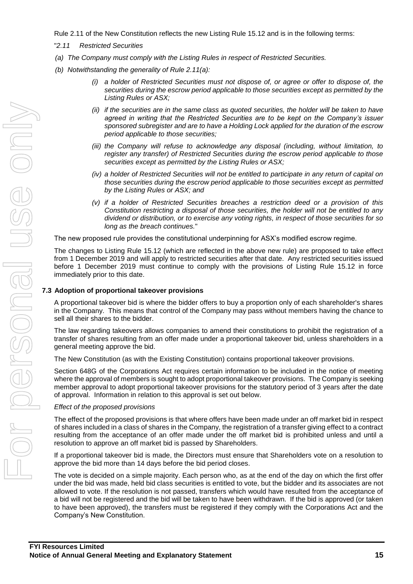Rule 2.11 of the New Constitution reflects the new Listing Rule 15.12 and is in the following terms:

- "*2.11 Restricted Securities*
- *(a) The Company must comply with the Listing Rules in respect of Restricted Securities.*
- *(b) Notwithstanding the generality of Rule 2.11(a):*
	- *(i) a holder of Restricted Securities must not dispose of, or agree or offer to dispose of, the securities during the escrow period applicable to those securities except as permitted by the Listing Rules or ASX;*
	- *(ii) if the securities are in the same class as quoted securities, the holder will be taken to have agreed in writing that the Restricted Securities are to be kept on the Company's issuer sponsored subregister and are to have a Holding Lock applied for the duration of the escrow period applicable to those securities;*
	- *(iii) the Company will refuse to acknowledge any disposal (including, without limitation, to register any transfer) of Restricted Securities during the escrow period applicable to those securities except as permitted by the Listing Rules or ASX;*
	- *(iv) a holder of Restricted Securities will not be entitled to participate in any return of capital on those securities during the escrow period applicable to those securities except as permitted by the Listing Rules or ASX; and*
	- *(v) if a holder of Restricted Securities breaches a restriction deed or a provision of this Constitution restricting a disposal of those securities, the holder will not be entitled to any dividend or distribution, or to exercise any voting rights, in respect of those securities for so long as the breach continues.*"

The new proposed rule provides the constitutional underpinning for ASX's modified escrow regime.

The changes to Listing Rule 15.12 (which are reflected in the above new rule) are proposed to take effect from 1 December 2019 and will apply to restricted securities after that date. Any restricted securities issued before 1 December 2019 must continue to comply with the provisions of Listing Rule 15.12 in force immediately prior to this date.

#### **7.3 Adoption of proportional takeover provisions**

A proportional takeover bid is where the bidder offers to buy a proportion only of each shareholder's shares in the Company. This means that control of the Company may pass without members having the chance to sell all their shares to the bidder.

The law regarding takeovers allows companies to amend their constitutions to prohibit the registration of a transfer of shares resulting from an offer made under a proportional takeover bid, unless shareholders in a general meeting approve the bid.

The New Constitution (as with the Existing Constitution) contains proportional takeover provisions.

Section 648G of the Corporations Act requires certain information to be included in the notice of meeting where the approval of members is sought to adopt proportional takeover provisions. The Company is seeking member approval to adopt proportional takeover provisions for the statutory period of 3 years after the date of approval. Information in relation to this approval is set out below.

#### *Effect of the proposed provisions*

The effect of the proposed provisions is that where offers have been made under an off market bid in respect of shares included in a class of shares in the Company, the registration of a transfer giving effect to a contract resulting from the acceptance of an offer made under the off market bid is prohibited unless and until a resolution to approve an off market bid is passed by Shareholders.

If a proportional takeover bid is made, the Directors must ensure that Shareholders vote on a resolution to approve the bid more than 14 days before the bid period closes.

The vote is decided on a simple majority. Each person who, as at the end of the day on which the first offer under the bid was made, held bid class securities is entitled to vote, but the bidder and its associates are not allowed to vote. If the resolution is not passed, transfers which would have resulted from the acceptance of a bid will not be registered and the bid will be taken to have been withdrawn. If the bid is approved (or taken to have been approved), the transfers must be registered if they comply with the Corporations Act and the Company's New Constitution.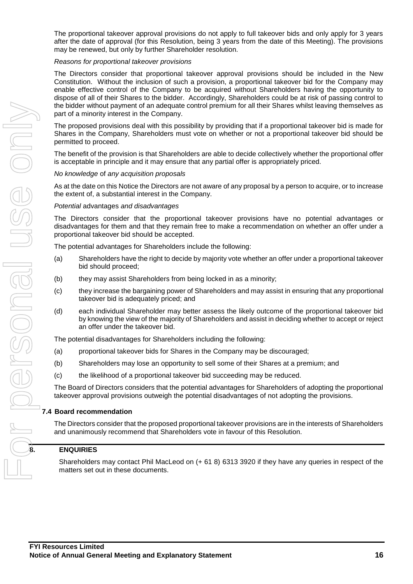The proportional takeover approval provisions do not apply to full takeover bids and only apply for 3 years after the date of approval (for this Resolution, being 3 years from the date of this Meeting). The provisions may be renewed, but only by further Shareholder resolution.

#### *Reasons for proportional takeover provisions*

The Directors consider that proportional takeover approval provisions should be included in the New Constitution. Without the inclusion of such a provision, a proportional takeover bid for the Company may enable effective control of the Company to be acquired without Shareholders having the opportunity to dispose of all of their Shares to the bidder. Accordingly, Shareholders could be at risk of passing control to the bidder without payment of an adequate control premium for all their Shares whilst leaving themselves as part of a minority interest in the Company.

The proposed provisions deal with this possibility by providing that if a proportional takeover bid is made for Shares in the Company, Shareholders must vote on whether or not a proportional takeover bid should be permitted to proceed.

The benefit of the provision is that Shareholders are able to decide collectively whether the proportional offer is acceptable in principle and it may ensure that any partial offer is appropriately priced.

#### *No knowledge* of *any acquisition proposals*

As at the date on this Notice the Directors are not aware of any proposal by a person to acquire, or to increase the extent of, a substantial interest in the Company.

*Potential* advantages *and disadvantages*

The Directors consider that the proportional takeover provisions have no potential advantages or disadvantages for them and that they remain free to make a recommendation on whether an offer under a proportional takeover bid should be accepted.

The potential advantages for Shareholders include the following:

- (a) Shareholders have the right to decide by majority vote whether an offer under a proportional takeover bid should proceed;
- (b) they may assist Shareholders from being locked in as a minority;
- (c) they increase the bargaining power of Shareholders and may assist in ensuring that any proportional takeover bid is adequately priced; and
- (d) each individual Shareholder may better assess the likely outcome of the proportional takeover bid by knowing the view of the majority of Shareholders and assist in deciding whether to accept or reject an offer under the takeover bid.

The potential disadvantages for Shareholders including the following:

- (a) proportional takeover bids for Shares in the Company may be discouraged;
- (b) Shareholders may lose an opportunity to sell some of their Shares at a premium; and
- (c) the likelihood of a proportional takeover bid succeeding may be reduced.

The Board of Directors considers that the potential advantages for Shareholders of adopting the proportional takeover approval provisions outweigh the potential disadvantages of not adopting the provisions.

#### **7.4 Board recommendation**

The Directors consider that the proposed proportional takeover provisions are in the interests of Shareholders and unanimously recommend that Shareholders vote in favour of this Resolution.

#### **8. ENQUIRIES**

Shareholders may contact Phil MacLeod on (+ 61 8) 6313 3920 if they have any queries in respect of the matters set out in these documents.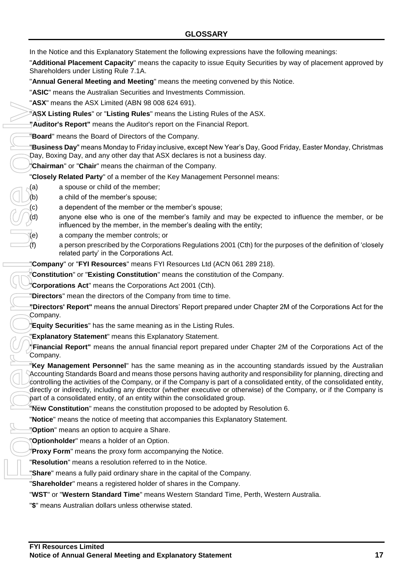"**Additional Placement Capacity**" means the capacity to issue Equity Securities by way of placement approved by Shareholders under Listing Rule 7.1A.

"**Annual General Meeting and Meeting**" means the meeting convened by this Notice.

"**ASIC**" means the Australian Securities and Investments Commission.

"**ASX**" means the ASX Limited (ABN 98 008 624 691).

"**ASX Listing Rules**" or "**Listing Rules**" means the Listing Rules of the ASX.

**"Auditor's Report"** means the Auditor's report on the Financial Report.

"**Board**" means the Board of Directors of the Company.

"**Business Day**" means Monday to Friday inclusive, except New Year's Day, Good Friday, Easter Monday, Christmas Day, Boxing Day, and any other day that ASX declares is not a business day.

"**Chairman**" or "**Chair**" means the chairman of the Company.

"**Closely Related Party**" of a member of the Key Management Personnel means:

- (a) a spouse or child of the member;
- $\langle b \rangle$  a child of the member's spouse;
- (c) a dependent of the member or the member's spouse;
- (d) anyone else who is one of the member's family and may be expected to influence the member, or be influenced by the member, in the member's dealing with the entity;
- (e) a company the member controls; or
- (f) a person prescribed by the Corporations Regulations 2001 (Cth) for the purposes of the definition of 'closely related party' in the Corporations Act.

"**Company**" or "**FYI Resources**" means FYI Resources Ltd (ACN 061 289 218).

"**Constitution**" or "**Existing Constitution**" means the constitution of the Company.

"**Corporations Act**" means the Corporations Act 2001 (Cth).

"**Directors**" mean the directors of the Company from time to time.

**"Directors' Report"** means the annual Directors' Report prepared under Chapter 2M of the Corporations Act for the Company.

"**Equity Securities**" has the same meaning as in the Listing Rules.

"**Explanatory Statement**" means this Explanatory Statement.

**"Financial Report"** means the annual financial report prepared under Chapter 2M of the Corporations Act of the Company.

"**Key Management Personnel**" has the same meaning as in the accounting standards issued by the Australian Accounting Standards Board and means those persons having authority and responsibility for planning, directing and controlling the activities of the Company, or if the Company is part of a consolidated entity, of the consolidated entity, directly or indirectly, including any director (whether executive or otherwise) of the Company, or if the Company is part of a consolidated entity, of an entity within the consolidated group. **Ass fluents for Associating (Absoluted** (Absoluted Passacheting Rules in The Texting Rules in The Texting Rules Compartion and Directors of the Compartion Day, Boxing Day, and any other day that ASX declared. The Day Rule

"**New Constitution**" means the constitution proposed to be adopted by Resolution 6.

"**Notice**" means the notice of meeting that accompanies this Explanatory Statement.

"**Option**" means an option to acquire a Share.

"**Optionholder**" means a holder of an Option.

"**Proxy Form**" means the proxy form accompanying the Notice.

"**Resolution**" means a resolution referred to in the Notice.

"**Share**" means a fully paid ordinary share in the capital of the Company.

"**Shareholder**" means a registered holder of shares in the Company.

"**WST**" or "**Western Standard Time**" means Western Standard Time, Perth, Western Australia.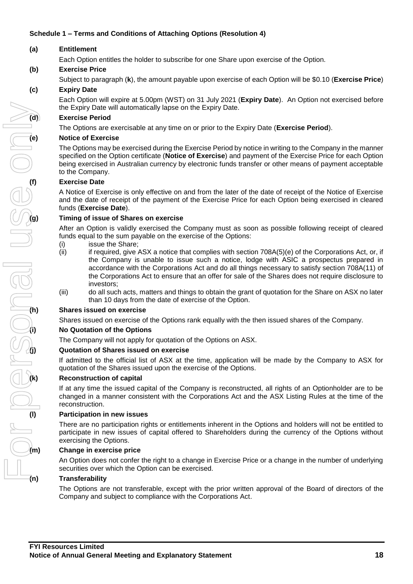#### **Schedule 1 – Terms and Conditions of Attaching Options (Resolution 4)**

#### **(a) Entitlement**

Each Option entitles the holder to subscribe for one Share upon exercise of the Option.

#### **(b) Exercise Price**

Subject to paragraph (**k**), the amount payable upon exercise of each Option will be \$0.10 (**Exercise Price**)

#### **(c) Expiry Date**

Each Option will expire at 5.00pm (WST) on 31 July 2021 (**Expiry Date**). An Option not exercised before the Expiry Date will automatically lapse on the Expiry Date.

#### **(d) Exercise Period**

The Options are exercisable at any time on or prior to the Expiry Date (**Exercise Period**).

#### **Notice of Exercise**

The Options may be exercised during the Exercise Period by notice in writing to the Company in the manner specified on the Option certificate (**Notice of Exercise**) and payment of the Exercise Price for each Option being exercised in Australian currency by electronic funds transfer or other means of payment acceptable to the Company.

#### **(f) Exercise Date**

A Notice of Exercise is only effective on and from the later of the date of receipt of the Notice of Exercise and the date of receipt of the payment of the Exercise Price for each Option being exercised in cleared funds (**Exercise Date**).

#### **(g) Timing of issue of Shares on exercise**

After an Option is validly exercised the Company must as soon as possible following receipt of cleared funds equal to the sum payable on the exercise of the Options:

- (i) issue the Share;
- (ii) if required, give ASX a notice that complies with section 708A(5)(e) of the Corporations Act, or, if the Company is unable to issue such a notice, lodge with ASIC a prospectus prepared in accordance with the Corporations Act and do all things necessary to satisfy section 708A(11) of the Corporations Act to ensure that an offer for sale of the Shares does not require disclosure to investors;
- (iii) do all such acts, matters and things to obtain the grant of quotation for the Share on ASX no later than 10 days from the date of exercise of the Option.

#### **(h) Shares issued on exercise**

Shares issued on exercise of the Options rank equally with the then issued shares of the Company.

#### **(i) No Quotation of the Options**

The Company will not apply for quotation of the Options on ASX.

#### **(j) Quotation of Shares issued on exercise**

If admitted to the official list of ASX at the time, application will be made by the Company to ASX for quotation of the Shares issued upon the exercise of the Options.

#### **(k) Reconstruction of capital**

If at any time the issued capital of the Company is reconstructed, all rights of an Optionholder are to be changed in a manner consistent with the Corporations Act and the ASX Listing Rules at the time of the reconstruction.

#### **(l) Participation in new issues**

There are no participation rights or entitlements inherent in the Options and holders will not be entitled to participate in new issues of capital offered to Shareholders during the currency of the Options without exercising the Options.

#### **(m) Change in exercise price**

An Option does not confer the right to a change in Exercise Price or a change in the number of underlying securities over which the Option can be exercised.

#### **(n) Transferability**

The Options are not transferable, except with the prior written approval of the Board of directors of the Company and subject to compliance with the Corporations Act.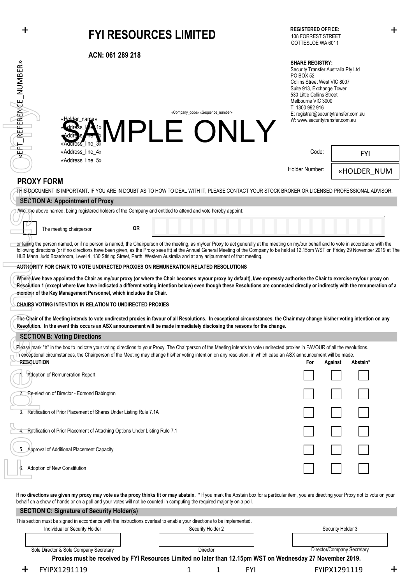# + + **FYI RESOURCES LIMITED**

**ACN: 061 289 218**

#### **SHARE REGISTRY:**

| EFIT_REFERENCE_NUMBER»          | «Holder_name»<br><b>GOOS ANN PLE ONLY</b>                                                                                                                                                                                                                                                                                                                                                                                                                                                                                                                                                                                                                                                                                                                                                                         |    | «Company_code» «Sequence_number» |  | <b>SHARE REGISTRY:</b><br>PO BOX 52<br>Collins Street West VIC 8007<br>Suite 913, Exchange Tower<br>530 Little Collins Street<br>Melbourne VIC 3000<br>T: 1300 992 916 | Security Transfer Australia Pty Ltd<br>E: registrar@securitytransfer.com.au<br>W: www.securitytransfer.com.au |             |  |
|---------------------------------|-------------------------------------------------------------------------------------------------------------------------------------------------------------------------------------------------------------------------------------------------------------------------------------------------------------------------------------------------------------------------------------------------------------------------------------------------------------------------------------------------------------------------------------------------------------------------------------------------------------------------------------------------------------------------------------------------------------------------------------------------------------------------------------------------------------------|----|----------------------------------|--|------------------------------------------------------------------------------------------------------------------------------------------------------------------------|---------------------------------------------------------------------------------------------------------------|-------------|--|
|                                 | «Address line 3»<br>«Address_line_4»                                                                                                                                                                                                                                                                                                                                                                                                                                                                                                                                                                                                                                                                                                                                                                              |    |                                  |  | Code:                                                                                                                                                                  |                                                                                                               | <b>FYI</b>  |  |
|                                 | «Address_line_5»                                                                                                                                                                                                                                                                                                                                                                                                                                                                                                                                                                                                                                                                                                                                                                                                  |    |                                  |  | Holder Number:                                                                                                                                                         |                                                                                                               | «HOLDER NUM |  |
| <b>PROXY FORM</b>               |                                                                                                                                                                                                                                                                                                                                                                                                                                                                                                                                                                                                                                                                                                                                                                                                                   |    |                                  |  |                                                                                                                                                                        |                                                                                                               |             |  |
|                                 | THIS DOCUMENT IS IMPORTANT. IF YOU ARE IN DOUBT AS TO HOW TO DEAL WITH IT, PLEASE CONTACT YOUR STOCK BROKER OR LICENSED PROFESSIONAL ADVISOR.                                                                                                                                                                                                                                                                                                                                                                                                                                                                                                                                                                                                                                                                     |    |                                  |  |                                                                                                                                                                        |                                                                                                               |             |  |
|                                 | <b>SECTION A: Appointment of Proxy</b>                                                                                                                                                                                                                                                                                                                                                                                                                                                                                                                                                                                                                                                                                                                                                                            |    |                                  |  |                                                                                                                                                                        |                                                                                                               |             |  |
|                                 | I/We, the above named, being registered holders of the Company and entitled to attend and vote hereby appoint:                                                                                                                                                                                                                                                                                                                                                                                                                                                                                                                                                                                                                                                                                                    |    |                                  |  |                                                                                                                                                                        |                                                                                                               |             |  |
|                                 | The meeting chairperson                                                                                                                                                                                                                                                                                                                                                                                                                                                                                                                                                                                                                                                                                                                                                                                           | QR |                                  |  |                                                                                                                                                                        |                                                                                                               |             |  |
|                                 | or failing the person named, or if no person is named, the Chairperson of the meeting, as my/our Proxy to act generally at the meeting on my/our behalf and to vote in accordance with the<br>following directions (or if no directions have been given, as the Proxy sees fit) at the Annual General Meeting of the Company to be held at 12.15pm WST on Friday 29 November 2019 at The<br>HLB Mann Judd Boardroom, Level 4, 130 Stirling Street, Perth, Western Australia and at any adjournment of that meeting.                                                                                                                                                                                                                                                                                               |    |                                  |  |                                                                                                                                                                        |                                                                                                               |             |  |
|                                 | AUTHORITY FOR CHAIR TO VOTE UNDIRECTED PROXIES ON REMUNERATION RELATED RESOLUTIONS                                                                                                                                                                                                                                                                                                                                                                                                                                                                                                                                                                                                                                                                                                                                |    |                                  |  |                                                                                                                                                                        |                                                                                                               |             |  |
|                                 | Where I/we have appointed the Chair as my/our proxy (or where the Chair becomes my/our proxy by default), I/we expressly authorise the Chair to exercise my/our proxy on<br>Resolution 1 (except where I/we have indicated a different voting intention below) even though these Resolutions are connected directly or indirectly with the remuneration of a<br>member of the Key Management Personnel, which includes the Chair.<br><b>CHAIRS VOTING INTENTION IN RELATION TO UNDIRECTED PROXIES</b><br>The Chair of the Meeting intends to vote undirected proxies in favour of all Resolutions. In exceptional circumstances, the Chair may change his/her voting intention on any<br>Resolution. In the event this occurs an ASX announcement will be made immediately disclosing the reasons for the change. |    |                                  |  |                                                                                                                                                                        |                                                                                                               |             |  |
|                                 | <b>SECTION B: Voting Directions</b>                                                                                                                                                                                                                                                                                                                                                                                                                                                                                                                                                                                                                                                                                                                                                                               |    |                                  |  |                                                                                                                                                                        |                                                                                                               |             |  |
| <b>RESOLUTION</b>               | Please mark "X" in the box to indicate your voting directions to your Proxy. The Chairperson of the Meeting intends to vote undirected proxies in FAVOUR of all the resolutions.<br>In exceptional circumstances, the Chairperson of the Meeting may change his/her voting intention on any resolution, in which case an ASX announcement will be made.                                                                                                                                                                                                                                                                                                                                                                                                                                                           |    |                                  |  | For                                                                                                                                                                    | Against                                                                                                       | Abstain*    |  |
| J D.                            | Adoption of Remuneration Report                                                                                                                                                                                                                                                                                                                                                                                                                                                                                                                                                                                                                                                                                                                                                                                   |    |                                  |  | $\Box$                                                                                                                                                                 | $\Box$                                                                                                        |             |  |
|                                 | Re-election of Director - Edmond Babington                                                                                                                                                                                                                                                                                                                                                                                                                                                                                                                                                                                                                                                                                                                                                                        |    |                                  |  |                                                                                                                                                                        |                                                                                                               |             |  |
|                                 | 3. Ratification of Prior Placement of Shares Under Listing Rule 7.1A                                                                                                                                                                                                                                                                                                                                                                                                                                                                                                                                                                                                                                                                                                                                              |    |                                  |  |                                                                                                                                                                        |                                                                                                               |             |  |
|                                 | Ratification of Prior Placement of Attaching Options Under Listing Rule 7.1                                                                                                                                                                                                                                                                                                                                                                                                                                                                                                                                                                                                                                                                                                                                       |    |                                  |  |                                                                                                                                                                        |                                                                                                               |             |  |
|                                 | 5. Approval of Additional Placement Capacity                                                                                                                                                                                                                                                                                                                                                                                                                                                                                                                                                                                                                                                                                                                                                                      |    |                                  |  |                                                                                                                                                                        |                                                                                                               |             |  |
| 6. Adoption of New Constitution |                                                                                                                                                                                                                                                                                                                                                                                                                                                                                                                                                                                                                                                                                                                                                                                                                   |    |                                  |  |                                                                                                                                                                        |                                                                                                               |             |  |
|                                 | If no directions are given my proxy may vote as the proxy thinks fit or may abstain. * If you mark the Abstain box for a particular item, you are directing your Proxy not to vote on your<br>behalf on a show of hands or on a poll and your votes will not be counted in computing the required majority on a poll.<br><b>SECTION C: Signature of Security Holder(s)</b>                                                                                                                                                                                                                                                                                                                                                                                                                                        |    |                                  |  |                                                                                                                                                                        |                                                                                                               |             |  |

| SECTION C. Signature of Security Holder(S)                                                                            |                                                                                                            |  |                   |          |     |  |                            |  |
|-----------------------------------------------------------------------------------------------------------------------|------------------------------------------------------------------------------------------------------------|--|-------------------|----------|-----|--|----------------------------|--|
| This section must be signed in accordance with the instructions overleaf to enable your directions to be implemented. |                                                                                                            |  |                   |          |     |  |                            |  |
|                                                                                                                       | Individual or Security Holder                                                                              |  | Security Holder 2 |          |     |  | Security Holder 3          |  |
|                                                                                                                       |                                                                                                            |  |                   |          |     |  |                            |  |
|                                                                                                                       |                                                                                                            |  |                   |          |     |  | Director/Company Secretary |  |
|                                                                                                                       | Sole Director & Sole Company Secretary                                                                     |  |                   | Director |     |  |                            |  |
|                                                                                                                       | Proxies must be received by FYI Resources Limited no later than 12.15pm WST on Wednesday 27 November 2019. |  |                   |          |     |  |                            |  |
|                                                                                                                       | FYIPX1291119                                                                                               |  |                   |          | FYI |  | FYIPX1291119               |  |
|                                                                                                                       |                                                                                                            |  |                   |          |     |  |                            |  |